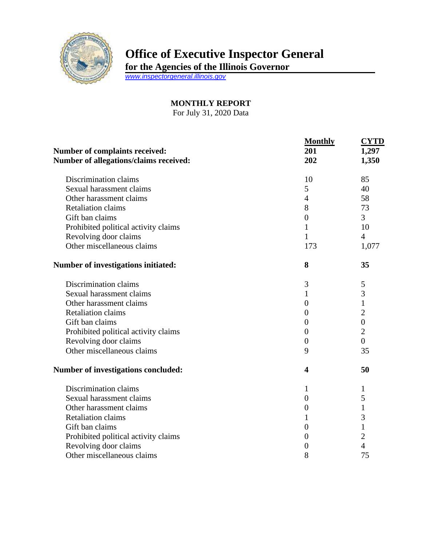

## **Office of Executive Inspector General**

**for the Agencies of the Illinois Governor**

*[www.inspectorgeneral.illinois.gov](http://www.inspectorgeneral.illinois.gov/)*

## **MONTHLY REPORT**

For July 31, 2020 Data

| <b>Number of complaints received:</b><br>Number of allegations/claims received: | <b>Monthly</b><br>201<br>202 | <b>CYTD</b><br>1,297<br>1,350 |
|---------------------------------------------------------------------------------|------------------------------|-------------------------------|
| Discrimination claims                                                           | 10                           | 85                            |
| Sexual harassment claims                                                        | 5                            | 40                            |
| Other harassment claims                                                         | $\overline{4}$               | 58                            |
| <b>Retaliation claims</b>                                                       | 8                            | 73                            |
| Gift ban claims                                                                 | $\overline{0}$               | $\overline{3}$                |
| Prohibited political activity claims                                            | 1                            | 10                            |
| Revolving door claims                                                           | 1                            | $\overline{4}$                |
| Other miscellaneous claims                                                      | 173                          | 1,077                         |
| Number of investigations initiated:                                             | 8                            | 35                            |
| Discrimination claims                                                           | $\mathfrak{Z}$               | 5                             |
| Sexual harassment claims                                                        | $\mathbf{1}$                 | 3                             |
| Other harassment claims                                                         | $\theta$                     | 1                             |
| <b>Retaliation claims</b>                                                       | $\overline{0}$               | $\overline{2}$                |
| Gift ban claims                                                                 | $\overline{0}$               | $\overline{0}$                |
| Prohibited political activity claims                                            | $\overline{0}$               | $\overline{2}$                |
| Revolving door claims                                                           | $\overline{0}$               | $\overline{0}$                |
| Other miscellaneous claims                                                      | 9                            | 35                            |
| <b>Number of investigations concluded:</b>                                      | 4                            | 50                            |
| Discrimination claims                                                           | 1                            | 1                             |
| Sexual harassment claims                                                        | $\overline{0}$               | 5                             |
| Other harassment claims                                                         | $\theta$                     | $\mathbf{1}$                  |
| <b>Retaliation claims</b>                                                       | 1                            | 3                             |
| Gift ban claims                                                                 | $\overline{0}$               | $\mathbf{1}$                  |
| Prohibited political activity claims                                            | $\boldsymbol{0}$             | $\overline{2}$                |
| Revolving door claims                                                           | $\overline{0}$               | $\overline{4}$                |
| Other miscellaneous claims                                                      | 8                            | 75                            |
|                                                                                 |                              |                               |